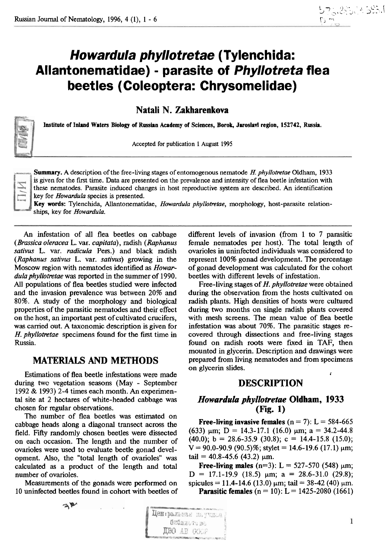# **Howardula phyllotretae (Tylenc hida: Allantonernatidae)** - **parasite of Phyllotreta flea beetles (Coleoptera: Chrysornelidae)**

**Natali N. Zakharenkova** 

Institute of Inland Waters Biology of Russian Academy of Sciences, Borok, Jaroslavl region, 152742, Russia.

**Accepted for publication 1 August 1995** 

**String** 

**Summary. A description of the free-living stages of entomogenous nematode H. phyllotretae Oldharn, 1933 is given for the first time. Data are presented on the prevalence and intensity of flea beetle infestation with these nematodes. Parasite induced changes in host reproductive system are described. An identification key for Howardula species is presented.** 

**Key words: Tylenchida, AUantonematidae, Howardula phyllotretae, morphology, host-parasite relationships, key for Howardula.** 

An infestation of all flea beetles on cabbage (Brassica oleracea L. var. capitata), radish (Raphanus sativus L. var. radicula Pers.) and black radish (Raphanus sativus L. var. sativus) growing in the Moscow region with nematodes identified as Howardula phyllotretae was reported in the summer of 1990. **All** populations of flea beetles studied were infected and the invasion prevalence was between 20% and 80%. A study of the morphology and biological properties of the parasitic nematodes and their effect on the host, an important pest of cultivated crucifers, was **canied** out. A taxonomic description is given for H. phyllotretae specimens found for the first time in Russia.

## **MATERIALS AND METHODS**

Estimations of flea beetle infestations were made during twc vegetation seasons (May - September 1992 & 1993) 2-4 times each month. An experimental site at 2 hectares of white-headed cabbage was chosen for regular observations.

The number of flea beetles was estimated on cabbage heads along a diagonal transect across the field. Fifty randomly chosen beetles were dissected on each occasion. The length and the number of ovarioles were used to evaluate beetle gonad development. Also, the "total length of ovarioles" was calculated as a product of the length and total number of ovarioles.

Measurements of the gonads were performed on 10 uninfected beetles found in cohort with beetles of

 $\mathbb{Z}^n$ 

different levels of invasion (from 1 to 7 parasitic female nematodes per host). The total length of ovarioles in uninfected individuals was considered to represent 100% gonad development. The percentage of gonad development was calculated for the cohort beetles with different levels of infestation.

Free-living stages of H. phyllotretae were obtained during the observation from the hosts cultivated on radish plants. High densities of hosts were cultured during two months on single radish plants covered with mesh screens. The mean value of flea beetle infestation was about 70%. The parasitic stages recovered through dissections and free-living stages found on radish roots were fixed in TAF, then mounted in glycerin. Description and drawings were prepared from living nematodes and from specimens on glycerin slides. **<sup>I</sup>**

# **DESCRIPTION**

# *Howardula phyllotretae* **Oldbam, 1933 (Fig. 1)**

Free-living invasive females  $(n = 7)$ : L = 584-665 (633)  $\mu$ m; D = 14.3-17.1 (16.0)  $\mu$ m; a = 34.2-44.8  $(40.0); b = 28.6 - 35.9 (30.8); c = 14.4 - 15.8 (15.0);$  $V = 90.0 - 90.9$  (90.5)%; stylet = 14.6-19.6 (17.1)  $\mu$ m; tail = 40.8-45.6 (43.2)  $\mu$ m.

Free-living males  $(n=3)$ : L = 527-570 (548)  $\mu$ m;  $D = 17.1 - 19.9$  (18.5)  $\mu$ m; a = 28.6-31.0 (29.8); spicules = 11.4-14.6 (13.0)  $\mu$ m; tail = 38-42 (40)  $\mu$ m. **Parasitic females** ( $n = 10$ ): L = 1425-2080 (1661)

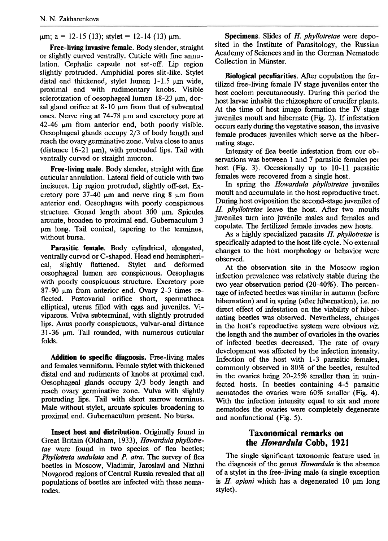$\mu$ m; a = 12-15 (13); stylet = 12-14 (13)  $\mu$ m.

Free-living invasive female. Body slender, straight or slightly curved ventrally. Cuticle with fine annulation. Cephalic capsule not set-off. Lip region slightly protruded. Amphidial pores slit-like. Stylet distal end thickened, stylet lumen  $1-1.5$   $\mu$ m wide, proximal end with rudimentary knobs. Visible sclerotization of oesophageal lumen  $18-23 \mu m$ , dorsal gland orifice at  $8-10 \mu m$  from that of subventral ones. Nerve ring at  $74-78$  µm and excretory pore at  $42-46$  µm from anterior end, both poorly visible. Oesophageal glands occupy 2/3 of body length and reach the ovary germinative zone. Vulva close to anus (distance  $16-21 \mu m$ ), with protruded lips. Tail with ventrally curved or straight mucron.

Free-living male. Body slender, straight with fine cuticular annulation. Lateral field of cuticle with two incisures. Lip region protruded, slightly off-set. Excretory pore  $37-40$  µm and nerve ring 8 µm from anterior end. Oesophagus with poorly conspicuous structure. Gonad length about  $300 \mu m$ . Spicules arcuate, broaden to proximal end. Gubernaculum 3  $µm$  long. Tail conical, tapering to the terminus, without bursa.

Parasitic female. Body cylindrical, elongated, ventrally curved or C-shaped. Head end hemispherical, slightly flattened. Stylet and deformed oesophageal lumen are conspicuous. Oesophagus with poorly conspicuous structure. Excretory pore 87-90 um from anterior end. Ovary 2-3 times reflected. Postovarial orifice short, spermatheca elliptical, uterus filled with eggs and juveniles. Viviparous. Vulva subterminal, with slightly protruded lips. Anus poorly conspicuous, vulvar-anal distance  $31-36$   $\mu$ m. Tail rounded, with numerous cuticular folds.

Addition to specific diagnosis. Free-living males and females vermiform. Female stylet with thickened distal end and rudiments of knobs at proximal end. Oesophageal glands occupy 2/3 body length and reach ovary germinative zone. Vulva with slightly protruding lips. Tail with short narrow terminus. Male without stylet, arcuate spicules broadening to proximal end. Gubemaculum present. No bursa.

Insect host and distribution. Originally found in Great Britain (Oldham, 1933), *Howardula phyllotretae* were found in two species of flea beetles: *Phyllotreta undulata* and *P. atm.* The survey of flea beetles in Moscow, Vladimir, Jaroslavl and Nizhni Novgorod regions of Central Russia revealed that all populations of beetles are infected with these nernatodes.

Specimens. Slides of H. *phyllotretae* were deposited in the Institute of Parasitology, the Russian Academy of Sciences and in the German Nematode Collection in Miinster.

Biological peculiarities. After copulation the fertilized free-living female **IV** stage juveniles enter the host coelom percutaneously. During this period the host larvae inhabit the rhizosphere of crucifer plants. At the time of host imago formation the **IV** stage juveniles moult and hibernate (Fig. 2). If infestation occurs early during the vegetative season, the invasive female produces juveniles which serve as the hibernating stage.

Intensity of flea beetle infestation from our observations was between 1 and 7 parasitic females per host (Fig. 3). Occasionally up to 10-11 parasitic females were recovered from a single host.

In spring the *Howardula phyllotretae* juveniles moult and accumulate in the host reproductive tract. During host oviposition the second-stage juveniles of *H. phyllotretae* leave the host. After two moults juveniles turn into juvenile males and females and copulate. The fertilized female invades new hosts.

As a highly specialized parasite *H. phyllotretae* is specifically adapted to the host life cycle. No external changes to the host morphology or behavior were observed.

At the observation site in the Moscow region infection prevalence was relatively stable during the two year observation period (20-40%). The percentage of infected beetles was similar in autumn (before hibernation) and in spring (after hibernation), i.e. no direct effect of infestation on the viability of hibernating beetles was observed. Nevertheless, changes in the host's reproductive system were obvious *viz.*  the length and the number of ovarioles in the ovaries of infected beetles decreased. The rate of ovary development was affected by the infection intensity. Lnfection of the host with 1-3 parasitic females, commonly observed in 80% of the beetles, resulted in the ovaries being 20-25% smaller than in uninfected hosts. In beetles containing 4-5 parasitic nematodes the ovaries were 60% smaller **(Fig.** 4). With the infection intensity **equal** to six and more nematodes the ovaries were completely degenerate and nonfunctional (Fig. 5).

### **Taxonomical remarks on the** *Howardula* **Cobb, 1921**

The single significant taxonomic feature used in the diagnosis of the genus *Howardula* is the absence of a stylet in the free-living male (a single exception is  $H$ . *apioni* which has a degenerated 10  $\mu$ m long stylet).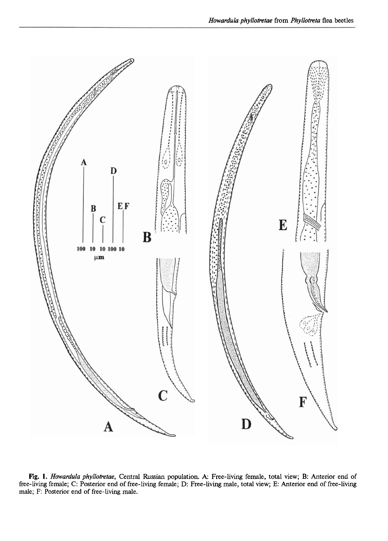

**Fig.** 1. Howardula phyllotretae, Central Russian population. **A:** Free-living female, total view; B: Anterior end of free-living female; C: Posterior end of free-living female; D: Free-living male, total view; E: Anterior end of free-living male; F: Posterior end of free-living male.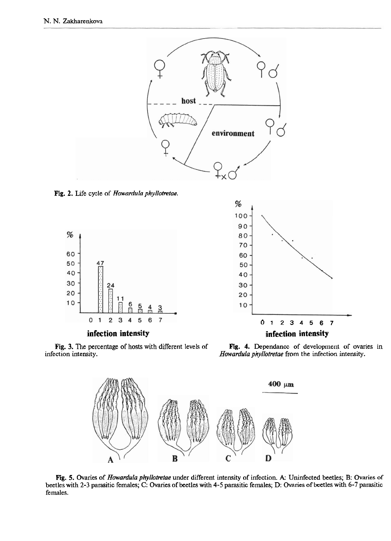

**Fig. 2.** Life cycle of *Howardula phyllotretae.* 



**infection intensity** 



**Fig. 3.** The percentage of hosts with different levels of **Fig. 4.** Dependance of development of ovaries in *Howardula phyllotretae* from the infection intensity.

Howardula phyllotretae from the infection intensity.



**Fig. 5.** Ovaries of *Howardula phyllotretae* under different intensity of infection. **A:** Uninfected beetles; B: Ovaries of beetles with 2-3 parasitic females; C: Ovaries of beetles with 4-5 parasitic females; D: Ovaries of beetles with 6-7 parasitic females.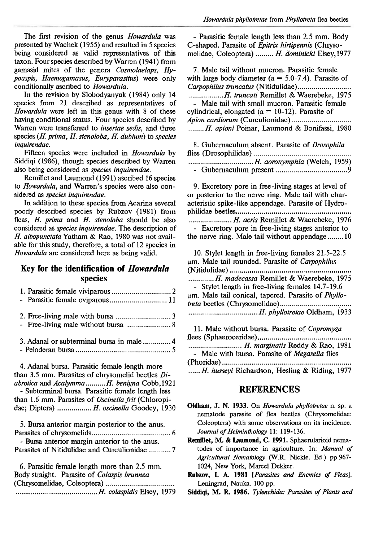The first revision of the genus *Howardula* was presented by Wachek (1955) and resulted in 5 species being considered as valid representatives of this taxon. Four species described by Warren (1941) from gamasid mites of the genera Cosmolaelaps, Hypoaspis, Haemogamasus, Euryparasitus) were only conditionally ascribed to Howardula.

In the revision by Slobodyanyuk (1984) only 14 species from 21 described as representatives of Howardula were left in this genus with 8 of these having conditional status. Four species described by Warren were transferred to insertae sedis, and three species  $(H. prima, H. stenoloba, H. dubium)$  to species inquirendae.

Fifteen species were included in Howardula by Siddiqi (1986), though species described by Warren also being considered as *species inquirendae*.

Remillet and Laumond (1991) ascribed 16 species to Howardula, and Warren's species were also considered as species inquirendae.

In addition to these species from Acarina several poorly described species by Rubzov (1981) from fleas, H. prima and H. stenoloba should be also considered as species inquirendae. The description of H. albopunctata Yatham & Rao, 1980 was not available for this study, therefore, a total of 12 species in Howardula are considered here as being valid.

## **Key for the identification of Howardula species**

| 3. Adanal or subterminal bursa in male  4                                                      |
|------------------------------------------------------------------------------------------------|
| 4. Adanal bursa. Parasitic female length more                                                  |
| than 3.5 mm. Parasites of chrysomelid beetles Di-                                              |
| abrotica and AcalymmaH. benigna Cobb,1921<br>- Subterminal bursa. Parasitic female length less |
| than 1.6 mm. Parasites of Oscinella frit (Chloropi-                                            |
| dae; Diptera)  H. oscinella Goodey, 1930                                                       |
| 5. Bursa anterior margin posterior to the anus.                                                |
|                                                                                                |
| - Bursa anterior margin anterior to the anus.                                                  |
| Parasites of Nitidulidae and Curculionidae 7                                                   |
| 6. Parasitic female length more than 2.5 mm.                                                   |
| Body straight. Parasite of Colaspis brunnea                                                    |
| (Channonalida, Calaantam)                                                                      |

(Chrysomelidae, Coleoptera) ...; ............................... .......................................... H. colaspidis Elsey, 1979

- Parasitic female length less than 2.5 mm. Body C-shaped. Parasite of *Epitrix hirtipennis* (Chrysomelidae, Coleoptera) ......... H. dominicki Elsey, 1977

7. Male tail without mucron. Parasitic female with large body diameter (a = 5.0-7.4). Parasite of Carpophilus truncatus (Nitidulidae) ........................... .................. H. truncati Remillet & Waerebeke, 1975 - Male tail with small mucron. Parasitic female cylindrical, elongated ( $a = 10-12$ ). Parasite of Apion cardiorum (Curculionidae) .............................. ........ H. apioni Poinar, Laumond & Bonifassi, 1980

| 8. Gubernaculum absent. Parasite of <i>Drosophila</i> |  |
|-------------------------------------------------------|--|
|                                                       |  |
|                                                       |  |
|                                                       |  |

9. Excretory pore in free-living stages at level of or posterior to the nerve ring. Male tail with characteristic spike-like appendage. Parasite of Hydrophilidae beetles .......................................................... ...................... H. acris Remillet & Waerebeke, 1976 - Excretory pore in free-living stages anterior to the nerve ring. Male tail without appendage ........ 10

10. Stylet length in free-living females 21.5-22.5  $\mu$ m. Male tail rounded. Parasite of *Carpophilus* (Nitidulidae) ............................................................. ............. H. madecassa Remillet & Waerebeke, 1975 - Stylet length in free-living females 14.7-19.6 pm. Male tail conical, tapered. Parasite of Phyllotreta beetles (Chrysomelidae) .................................... ................................... H. phyllotretae Oldham, 1933

| 11. Male without bursa. Parasite of <i>Copromyza</i>  |
|-------------------------------------------------------|
|                                                       |
| H. marginatis Reddy & Rao, 1981                       |
| - Male with bursa. Parasite of <i>Megaselia</i> flies |
|                                                       |
| H. husseyi Richardson, Hesling & Riding, 1977         |

#### **REFERENCES**

- **Oldham, J. N. 1933.** On Howardula phyllotretae n. sp. a nematode parasite of flea beetles (Chrysomelidae: Coleoptera) with some observations on its incidence. Journal of Helminthology 11: 119-136.
- **Remillet,** M. & **Laumond, C. 1991.** Sphaerularioid nernatodes of importance in agriculture. In: Manual of Agricultural Nematology (W.R. Nickle. Ed.) pp.967-1024, New York, Marcel Dekker.
- Rubzov, I. A. 1981 [Parasites and Enemies of Fleas]. Leningrad, Nauka. 100 pp.

Siddiqi, M. R. 1986. *Tylenchida: Parasites of Plants and*